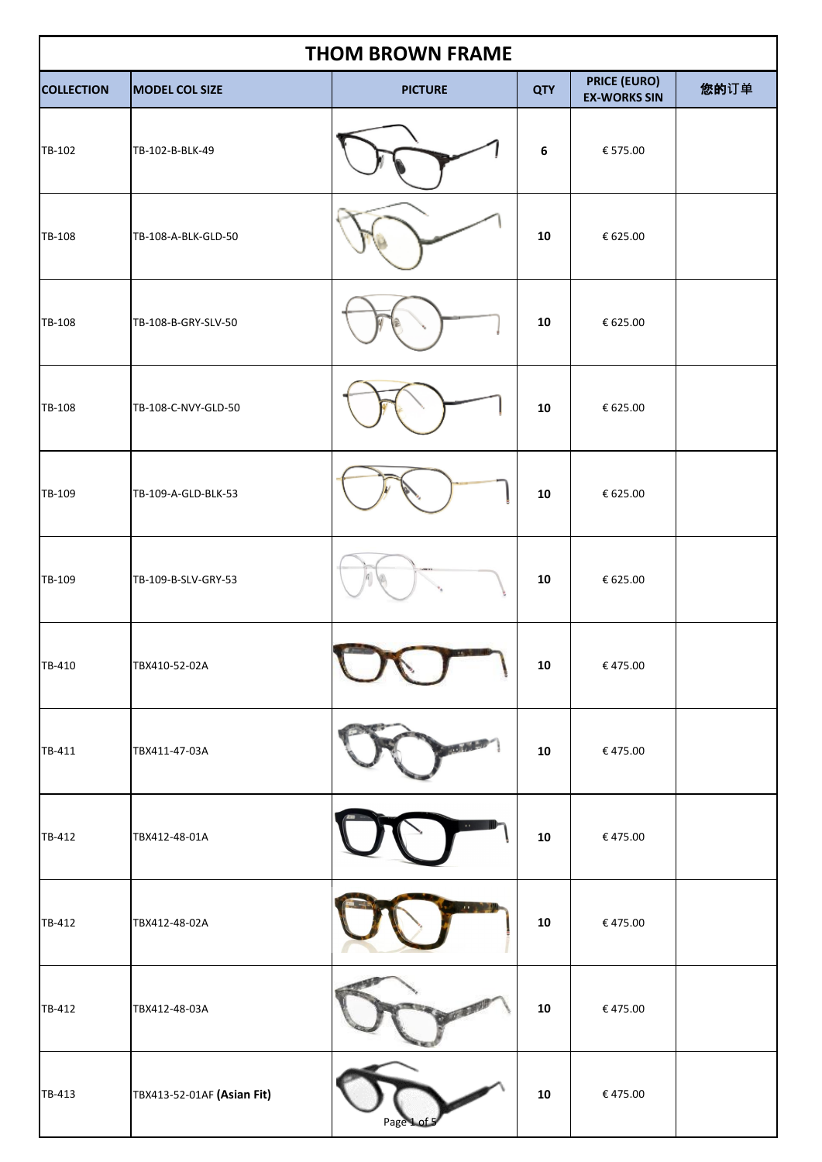| <b>THOM BROWN FRAME</b> |                            |                |            |                                            |      |  |
|-------------------------|----------------------------|----------------|------------|--------------------------------------------|------|--|
| <b>COLLECTION</b>       | MODEL COL SIZE             | <b>PICTURE</b> | <b>QTY</b> | <b>PRICE (EURO)</b><br><b>EX-WORKS SIN</b> | 您的订单 |  |
| TB-102                  | TB-102-B-BLK-49            |                | 6          | € 575.00                                   |      |  |
| TB-108                  | TB-108-A-BLK-GLD-50        |                | 10         | € 625.00                                   |      |  |
| TB-108                  | TB-108-B-GRY-SLV-50        |                | 10         | € 625.00                                   |      |  |
| TB-108                  | TB-108-C-NVY-GLD-50        |                | 10         | € 625.00                                   |      |  |
| TB-109                  | TB-109-A-GLD-BLK-53        |                | 10         | € 625.00                                   |      |  |
| TB-109                  | TB-109-B-SLV-GRY-53        |                | 10         | € 625.00                                   |      |  |
| TB-410                  | TBX410-52-02A              |                | 10         | €475.00                                    |      |  |
| TB-411                  | TBX411-47-03A              |                | 10         | €475.00                                    |      |  |
| TB-412                  | TBX412-48-01A              | $\mathbf{r}$   | 10         | €475.00                                    |      |  |
| TB-412                  | TBX412-48-02A              |                | 10         | €475.00                                    |      |  |
| TB-412                  | TBX412-48-03A              |                | 10         | €475.00                                    |      |  |
| TB-413                  | TBX413-52-01AF (Asian Fit) | Page 1         | 10         | € 475.00                                   |      |  |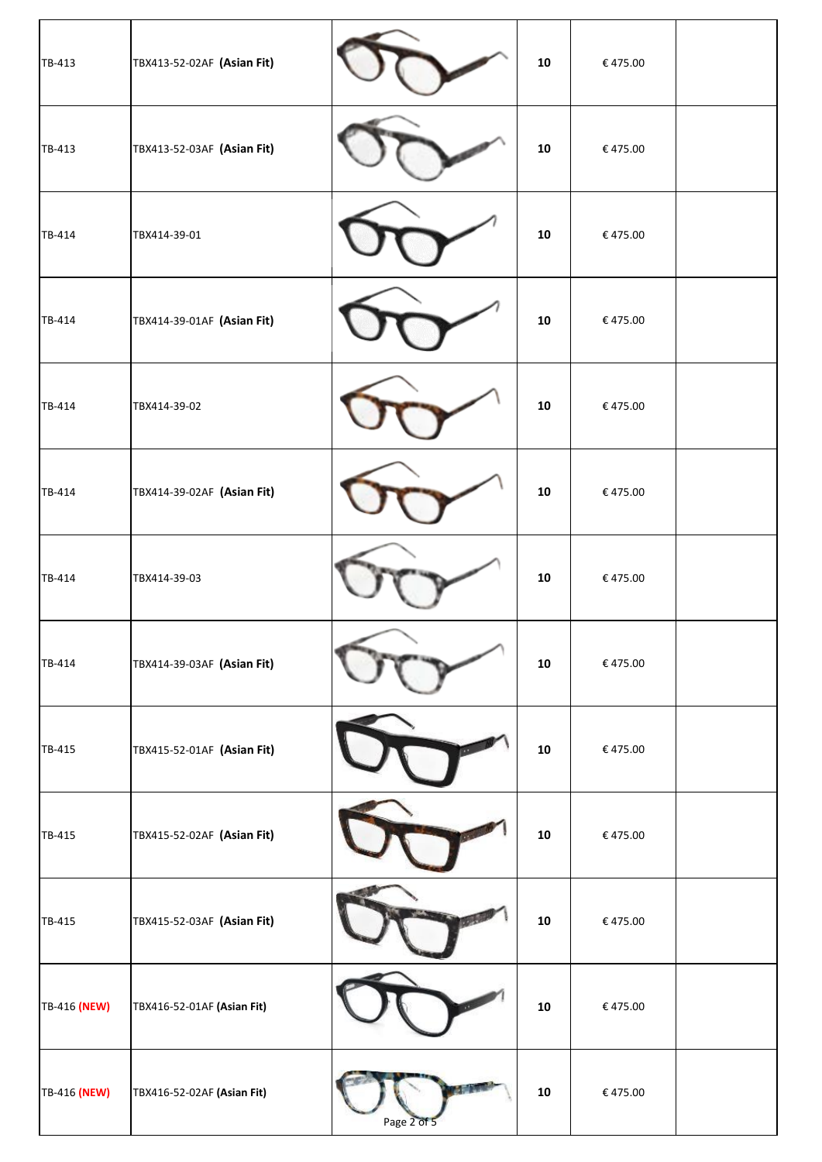| TB-413       | TBX413-52-02AF (Asian Fit) |             | 10         | €475.00                        |  |
|--------------|----------------------------|-------------|------------|--------------------------------|--|
| TB-413       | TBX413-52-03AF (Asian Fit) |             | 10         | €475.00                        |  |
| TB-414       | TBX414-39-01               |             | ${\bf 10}$ | €475.00                        |  |
| TB-414       | TBX414-39-01AF (Asian Fit) |             | 10         | €475.00                        |  |
| TB-414       | TBX414-39-02               |             | 10         | €475.00                        |  |
| TB-414       | TBX414-39-02AF (Asian Fit) |             | 10         | €475.00                        |  |
| TB-414       | TBX414-39-03               |             | 10         | €475.00                        |  |
| TB-414       | TBX414-39-03AF (Asian Fit) |             | 10         | €475.00                        |  |
| TB-415       | TBX415-52-01AF (Asian Fit) |             | 10         | €475.00                        |  |
| TB-415       | TBX415-52-02AF (Asian Fit) |             | 10         | €475.00                        |  |
| TB-415       | TBX415-52-03AF (Asian Fit) |             | ${\bf 10}$ | €475.00                        |  |
| TB-416 (NEW) | TBX416-52-01AF (Asian Fit) |             | 10         | $\boldsymbol{\epsilon}$ 475.00 |  |
| TB-416 (NEW) | TBX416-52-02AF (Asian Fit) | Page 2 of 5 | ${\bf 10}$ | €475.00                        |  |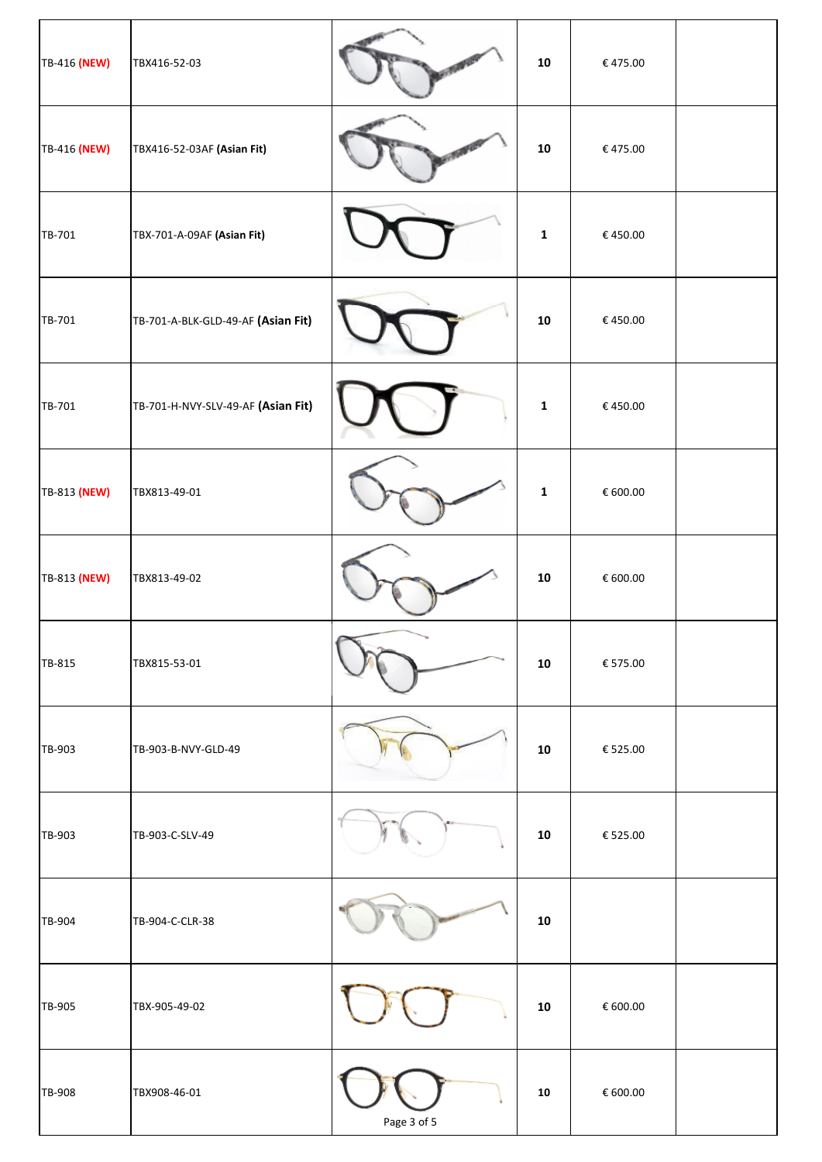| TB-416 (NEW) | TBX416-52-03                       |             | 10           | € 475.00                       |  |
|--------------|------------------------------------|-------------|--------------|--------------------------------|--|
| TB-416 (NEW) | TBX416-52-03AF (Asian Fit)         |             | 10           | €475.00                        |  |
| TB-701       | TBX-701-A-09AF (Asian Fit)         |             | $\mathbf{1}$ | €450.00                        |  |
| TB-701       | TB-701-A-BLK-GLD-49-AF (Asian Fit) |             | 10           | €450.00                        |  |
| TB-701       | TB-701-H-NVY-SLV-49-AF (Asian Fit) |             | $\mathbf{1}$ | €450.00                        |  |
| TB-813 (NEW) | TBX813-49-01                       |             | $\mathbf{1}$ | € 600.00                       |  |
| TB-813 (NEW) | TBX813-49-02                       |             | 10           | € 600.00                       |  |
| TB-815       | TBX815-53-01                       |             | 10           | € 575.00                       |  |
| TB-903       | TB-903-B-NVY-GLD-49                |             | 10           | € 525.00                       |  |
| TB-903       | TB-903-C-SLV-49                    |             | 10           | € 525.00                       |  |
| TB-904       | TB-904-C-CLR-38                    |             | 10           |                                |  |
| TB-905       | TBX-905-49-02                      |             | ${\bf 10}$   | $\epsilon$ 600.00              |  |
| TB-908       | TBX908-46-01                       | Page 3 of 5 | ${\bf 10}$   | $\boldsymbol{\epsilon}$ 600.00 |  |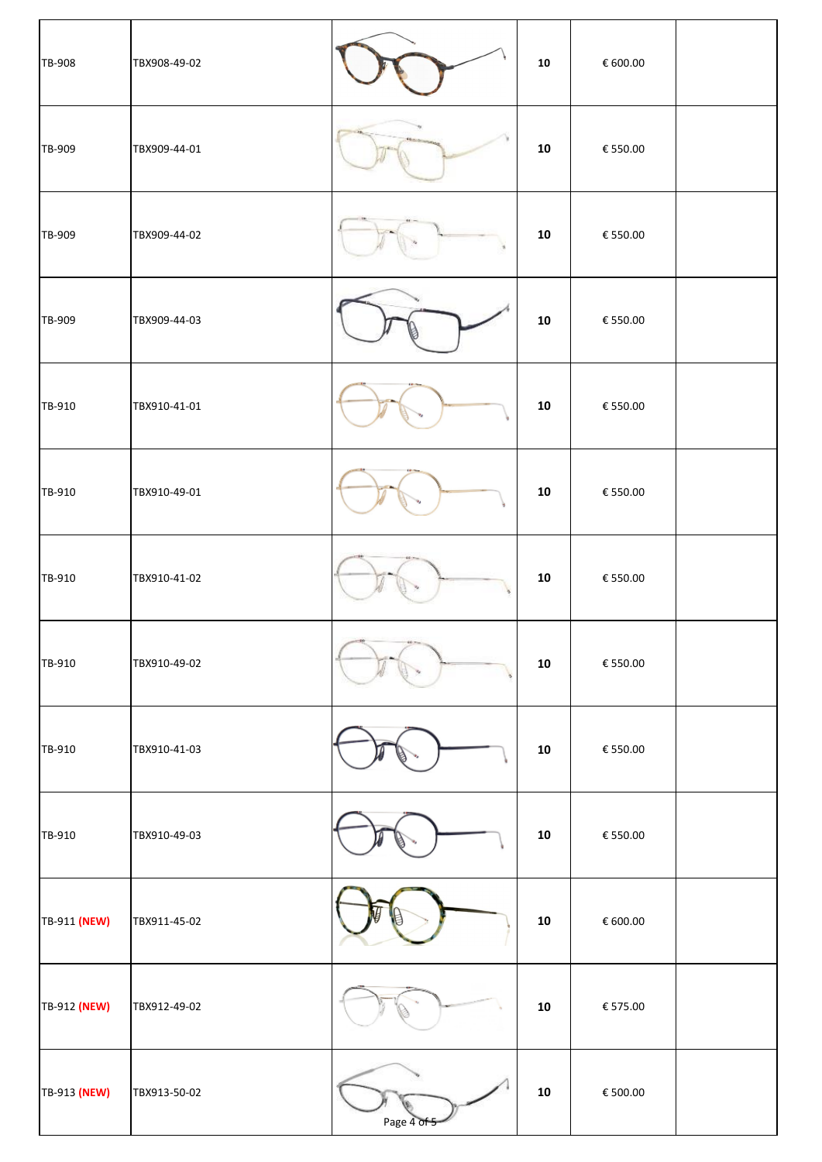| TB-908       | TBX908-49-02 |             | 10         | € 600.00                       |  |
|--------------|--------------|-------------|------------|--------------------------------|--|
| TB-909       | TBX909-44-01 |             | 10         | € 550.00                       |  |
| TB-909       | TBX909-44-02 |             | 10         | € 550.00                       |  |
| TB-909       | TBX909-44-03 |             | 10         | $\boldsymbol{\epsilon}$ 550.00 |  |
| TB-910       | TBX910-41-01 |             | 10         | $\boldsymbol{\epsilon}$ 550.00 |  |
| TB-910       | TBX910-49-01 |             | 10         | € 550.00                       |  |
| TB-910       | TBX910-41-02 |             | 10         | € 550.00                       |  |
| TB-910       | TBX910-49-02 |             | 10         | € 550.00                       |  |
| TB-910       | TBX910-41-03 |             | 10         | € 550.00                       |  |
| TB-910       | TBX910-49-03 |             | 10         | € 550.00                       |  |
| TB-911 (NEW) | TBX911-45-02 |             | 10         | € 600.00                       |  |
| TB-912 (NEW) | TBX912-49-02 |             | 10         | $\boldsymbol{\epsilon}$ 575.00 |  |
| TB-913 (NEW) | TBX913-50-02 | Page 4 of 5 | ${\bf 10}$ | $\boldsymbol{\epsilon}$ 500.00 |  |